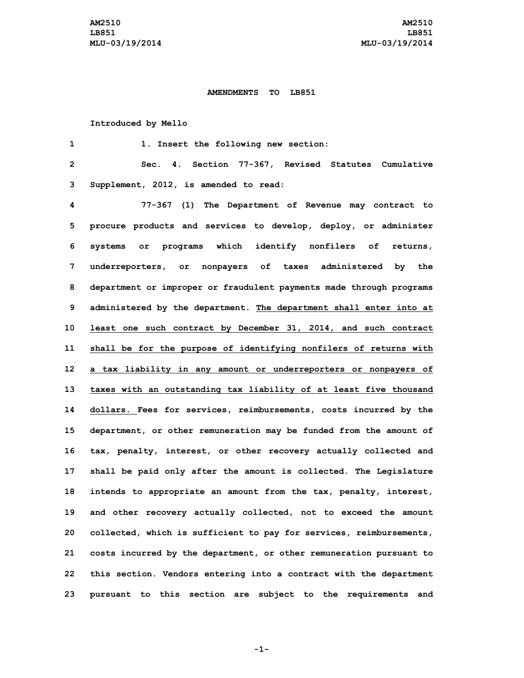## **AMENDMENTS TO LB851**

## **Introduced by Mello**

 **1. Insert the following new section: Sec. 4. Section 77-367, Revised Statutes Cumulative Supplement, 2012, is amended to read: 77-367 (1) The Department of Revenue may contract to procure products and services to develop, deploy, or administer systems or programs which identify nonfilers of returns, underreporters, or nonpayers of taxes administered by the department or improper or fraudulent payments made through programs administered by the department. The department shall enter into at least one such contract by December 31, 2014, and such contract shall be for the purpose of identifying nonfilers of returns with <sup>a</sup> tax liability in any amount or underreporters or nonpayers of taxes with an outstanding tax liability of at least five thousand dollars. Fees for services, reimbursements, costs incurred by the department, or other remuneration may be funded from the amount of tax, penalty, interest, or other recovery actually collected and shall be paid only after the amount is collected. The Legislature intends to appropriate an amount from the tax, penalty, interest, and other recovery actually collected, not to exceed the amount collected, which is sufficient to pay for services, reimbursements, costs incurred by the department, or other remuneration pursuant to this section. Vendors entering into <sup>a</sup> contract with the department pursuant to this section are subject to the requirements and**

**-1-**